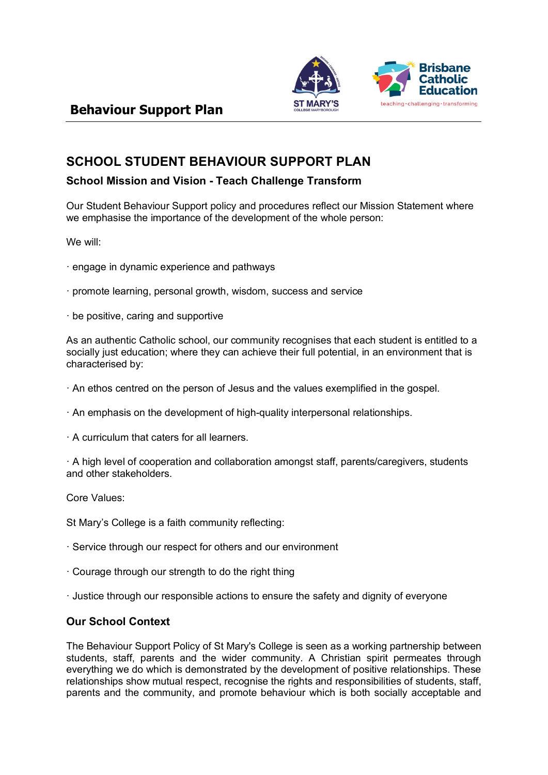

# **SCHOOL STUDENT BEHAVIOUR SUPPORT PLAN**

## **School Mission and Vision - Teach Challenge Transform**

Our Student Behaviour Support policy and procedures reflect our Mission Statement where we emphasise the importance of the development of the whole person:

We will:

- · engage in dynamic experience and pathways
- · promote learning, personal growth, wisdom, success and service
- · be positive, caring and supportive

As an authentic Catholic school, our community recognises that each student is entitled to a socially just education; where they can achieve their full potential, in an environment that is characterised by:

- · An ethos centred on the person of Jesus and the values exemplified in the gospel.
- · An emphasis on the development of high-quality interpersonal relationships.
- · A curriculum that caters for all learners.

· A high level of cooperation and collaboration amongst staff, parents/caregivers, students and other stakeholders.

Core Values:

St Mary's College is a faith community reflecting:

- · Service through our respect for others and our environment
- · Courage through our strength to do the right thing
- · Justice through our responsible actions to ensure the safety and dignity of everyone

## **Our School Context**

The Behaviour Support Policy of St Mary's College is seen as a working partnership between students, staff, parents and the wider community. A Christian spirit permeates through everything we do which is demonstrated by the development of positive relationships. These relationships show mutual respect, recognise the rights and responsibilities of students, staff, parents and the community, and promote behaviour which is both socially acceptable and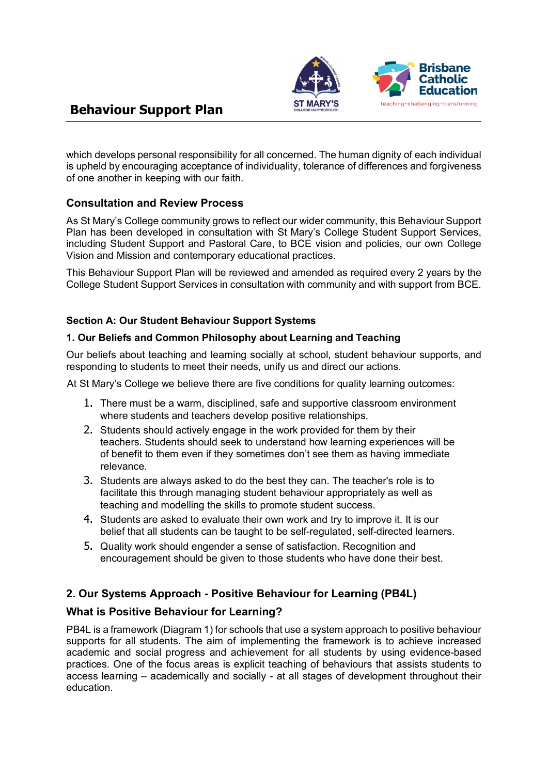

which develops personal responsibility for all concerned. The human dignity of each individual is upheld by encouraging acceptance of individuality, tolerance of differences and forgiveness of one another in keeping with our faith.

## **Consultation and Review Process**

As St Mary's College community grows to reflect our wider community, this Behaviour Support Plan has been developed in consultation with St Mary's College Student Support Services, including Student Support and Pastoral Care, to BCE vision and policies, our own College Vision and Mission and contemporary educational practices.

This Behaviour Support Plan will be reviewed and amended as required every 2 years by the College Student Support Services in consultation with community and with support from BCE.

#### **Section A: Our Student Behaviour Support Systems**

#### **1. Our Beliefs and Common Philosophy about Learning and Teaching**

Our beliefs about teaching and learning socially at school, student behaviour supports, and responding to students to meet their needs, unify us and direct our actions.

At St Mary's College we believe there are five conditions for quality learning outcomes:

- 1. There must be a warm, disciplined, safe and supportive classroom environment where students and teachers develop positive relationships.
- 2. Students should actively engage in the work provided for them by their teachers. Students should seek to understand how learning experiences will be of benefit to them even if they sometimes don't see them as having immediate relevance.
- 3. Students are always asked to do the best they can. The teacher's role is to facilitate this through managing student behaviour appropriately as well as teaching and modelling the skills to promote student success.
- 4. Students are asked to evaluate their own work and try to improve it. It is our belief that all students can be taught to be self-regulated, self-directed learners.
- 5. Quality work should engender a sense of satisfaction. Recognition and encouragement should be given to those students who have done their best.

## **2. Our Systems Approach - Positive Behaviour for Learning (PB4L)**

#### **What is Positive Behaviour for Learning?**

PB4L is a framework (Diagram 1) for schools that use a system approach to positive behaviour supports for all students. The aim of implementing the framework is to achieve increased academic and social progress and achievement for all students by using evidence-based practices. One of the focus areas is explicit teaching of behaviours that assists students to access learning – academically and socially - at all stages of development throughout their education.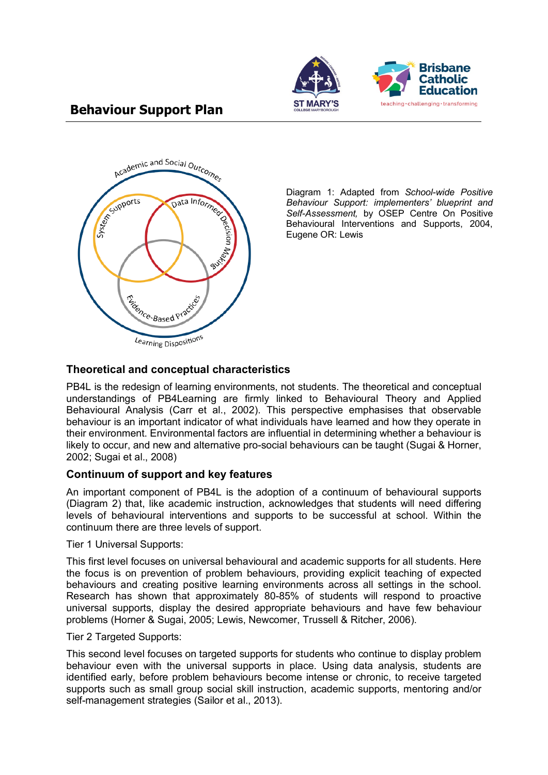



Diagram 1: Adapted from *School-wide Positive Behaviour Support: implementers' blueprint and Self-Assessment,* by OSEP Centre On Positive Behavioural Interventions and Supports, 2004, Eugene OR: Lewis

## **Theoretical and conceptual characteristics**

PB4L is the redesign of learning environments, not students. The theoretical and conceptual understandings of PB4Learning are firmly linked to Behavioural Theory and Applied Behavioural Analysis (Carr et al., 2002). This perspective emphasises that observable behaviour is an important indicator of what individuals have learned and how they operate in their environment. Environmental factors are influential in determining whether a behaviour is likely to occur, and new and alternative pro-social behaviours can be taught (Sugai & Horner, 2002; Sugai et al., 2008)

#### **Continuum of support and key features**

An important component of PB4L is the adoption of a continuum of behavioural supports (Diagram 2) that, like academic instruction, acknowledges that students will need differing levels of behavioural interventions and supports to be successful at school. Within the continuum there are three levels of support.

Tier 1 Universal Supports:

This first level focuses on universal behavioural and academic supports for all students. Here the focus is on prevention of problem behaviours, providing explicit teaching of expected behaviours and creating positive learning environments across all settings in the school. Research has shown that approximately 80-85% of students will respond to proactive universal supports, display the desired appropriate behaviours and have few behaviour problems (Horner & Sugai, 2005; Lewis, Newcomer, Trussell & Ritcher, 2006).

Tier 2 Targeted Supports:

This second level focuses on targeted supports for students who continue to display problem behaviour even with the universal supports in place. Using data analysis, students are identified early, before problem behaviours become intense or chronic, to receive targeted supports such as small group social skill instruction, academic supports, mentoring and/or self-management strategies (Sailor et al., 2013).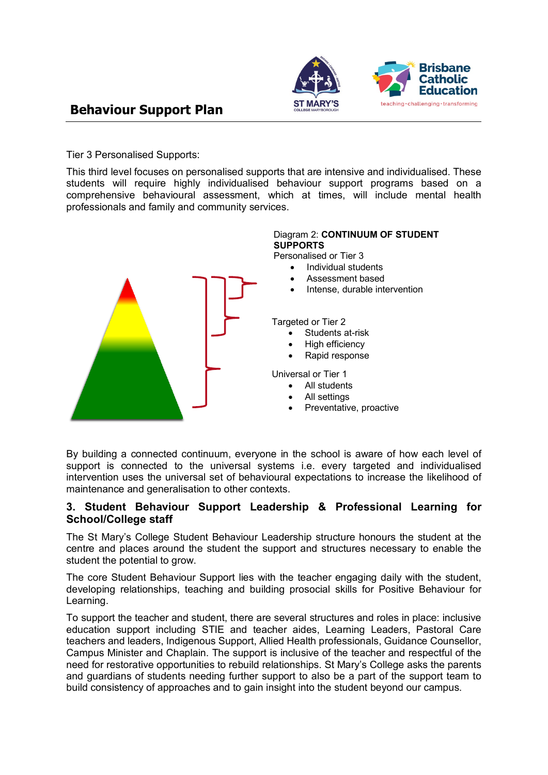

Tier 3 Personalised Supports:

This third level focuses on personalised supports that are intensive and individualised. These students will require highly individualised behaviour support programs based on a comprehensive behavioural assessment, which at times, will include mental health professionals and family and community services.



By building a connected continuum, everyone in the school is aware of how each level of support is connected to the universal systems i.e. every targeted and individualised intervention uses the universal set of behavioural expectations to increase the likelihood of maintenance and generalisation to other contexts.

#### **3. Student Behaviour Support Leadership & Professional Learning for School/College staff**

The St Mary's College Student Behaviour Leadership structure honours the student at the centre and places around the student the support and structures necessary to enable the student the potential to grow.

The core Student Behaviour Support lies with the teacher engaging daily with the student, developing relationships, teaching and building prosocial skills for Positive Behaviour for Learning.

To support the teacher and student, there are several structures and roles in place: inclusive education support including STIE and teacher aides, Learning Leaders, Pastoral Care teachers and leaders, Indigenous Support, Allied Health professionals, Guidance Counsellor, Campus Minister and Chaplain. The support is inclusive of the teacher and respectful of the need for restorative opportunities to rebuild relationships. St Mary's College asks the parents and guardians of students needing further support to also be a part of the support team to build consistency of approaches and to gain insight into the student beyond our campus.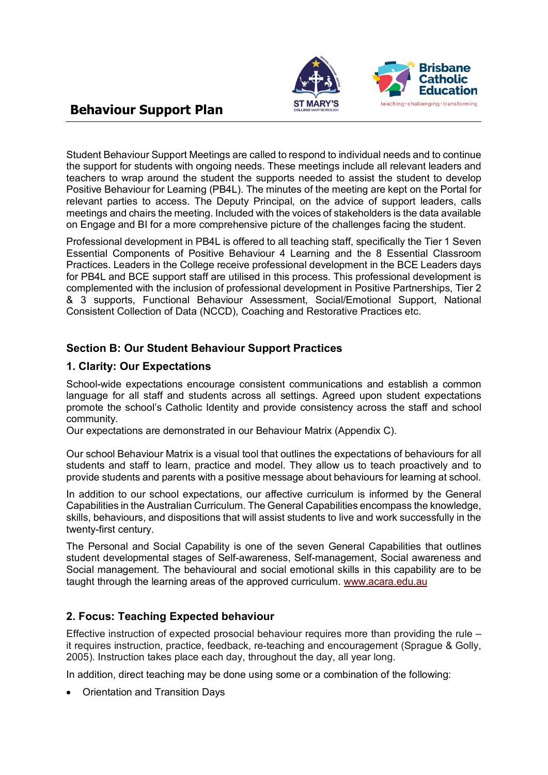

Student Behaviour Support Meetings are called to respond to individual needs and to continue the support for students with ongoing needs. These meetings include all relevant leaders and teachers to wrap around the student the supports needed to assist the student to develop Positive Behaviour for Learning (PB4L). The minutes of the meeting are kept on the Portal for relevant parties to access. The Deputy Principal, on the advice of support leaders, calls meetings and chairs the meeting. Included with the voices of stakeholders is the data available on Engage and BI for a more comprehensive picture of the challenges facing the student.

Professional development in PB4L is offered to all teaching staff, specifically the Tier 1 Seven Essential Components of Positive Behaviour 4 Learning and the 8 Essential Classroom Practices. Leaders in the College receive professional development in the BCE Leaders days for PB4L and BCE support staff are utilised in this process. This professional development is complemented with the inclusion of professional development in Positive Partnerships, Tier 2 & 3 supports, Functional Behaviour Assessment, Social/Emotional Support, National Consistent Collection of Data (NCCD), Coaching and Restorative Practices etc.

## **Section B: Our Student Behaviour Support Practices**

## **1. Clarity: Our Expectations**

School-wide expectations encourage consistent communications and establish a common language for all staff and students across all settings. Agreed upon student expectations promote the school's Catholic Identity and provide consistency across the staff and school community.

Our expectations are demonstrated in our Behaviour Matrix (Appendix C).

Our school Behaviour Matrix is a visual tool that outlines the expectations of behaviours for all students and staff to learn, practice and model. They allow us to teach proactively and to provide students and parents with a positive message about behaviours for learning at school.

In addition to our school expectations, our affective curriculum is informed by the General Capabilities in the Australian Curriculum. The General Capabilities encompass the knowledge, skills, behaviours, and dispositions that will assist students to live and work successfully in the twenty-first century.

The Personal and Social Capability is one of the seven General Capabilities that outlines student developmental stages of Self-awareness, Self-management, Social awareness and Social management. The behavioural and social emotional skills in this capability are to be taught through the learning areas of the approved curriculum. [www.acara.edu.au](http://www.acara.edu.au/)

## **2. Focus: Teaching Expected behaviour**

Effective instruction of expected prosocial behaviour requires more than providing the rule – it requires instruction, practice, feedback, re-teaching and encouragement (Sprague & Golly, 2005). Instruction takes place each day, throughout the day, all year long.

In addition, direct teaching may be done using some or a combination of the following:

• Orientation and Transition Days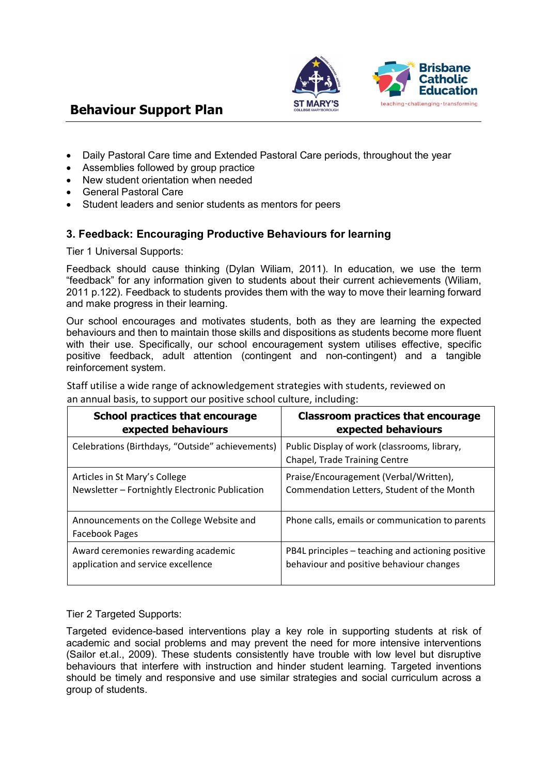

- Daily Pastoral Care time and Extended Pastoral Care periods, throughout the year
- Assemblies followed by group practice
- New student orientation when needed
- General Pastoral Care
- Student leaders and senior students as mentors for peers

## **3. Feedback: Encouraging Productive Behaviours for learning**

Tier 1 Universal Supports:

Feedback should cause thinking (Dylan Wiliam, 2011). In education, we use the term "feedback" for any information given to students about their current achievements (Wiliam, 2011 p.122). Feedback to students provides them with the way to move their learning forward and make progress in their learning.

Our school encourages and motivates students, both as they are learning the expected behaviours and then to maintain those skills and dispositions as students become more fluent with their use. Specifically, our school encouragement system utilises effective, specific positive feedback, adult attention (contingent and non-contingent) and a tangible reinforcement system.

Staff utilise a wide range of acknowledgement strategies with students, reviewed on an annual basis, to support our positive school culture, including:

| <b>School practices that encourage</b>                            | <b>Classroom practices that encourage</b>                                     |
|-------------------------------------------------------------------|-------------------------------------------------------------------------------|
| expected behaviours                                               | expected behaviours                                                           |
| Celebrations (Birthdays, "Outside" achievements)                  | Public Display of work (classrooms, library,<br>Chapel, Trade Training Centre |
| Articles in St Mary's College                                     | Praise/Encouragement (Verbal/Written),                                        |
| Newsletter - Fortnightly Electronic Publication                   | Commendation Letters, Student of the Month                                    |
| Announcements on the College Website and<br><b>Facebook Pages</b> | Phone calls, emails or communication to parents                               |
| Award ceremonies rewarding academic                               | PB4L principles – teaching and actioning positive                             |
| application and service excellence                                | behaviour and positive behaviour changes                                      |

Tier 2 Targeted Supports:

Targeted evidence-based interventions play a key role in supporting students at risk of academic and social problems and may prevent the need for more intensive interventions (Sailor et.al., 2009). These students consistently have trouble with low level but disruptive behaviours that interfere with instruction and hinder student learning. Targeted inventions should be timely and responsive and use similar strategies and social curriculum across a group of students.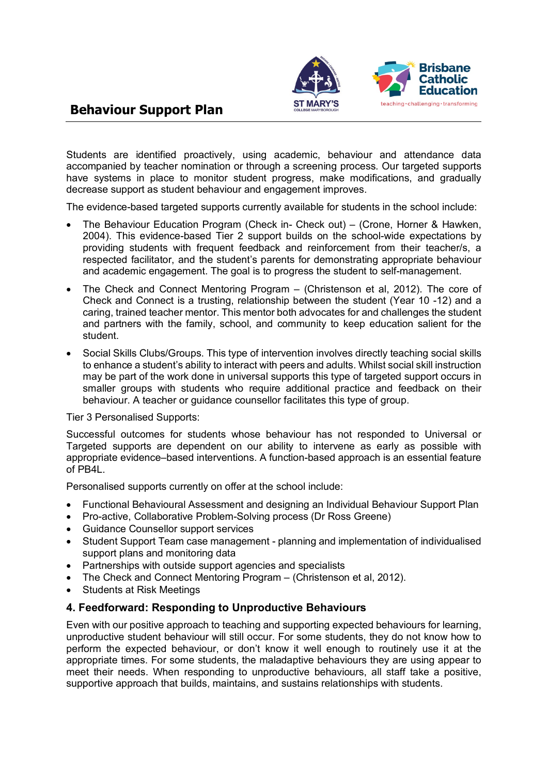

Students are identified proactively, using academic, behaviour and attendance data accompanied by teacher nomination or through a screening process. Our targeted supports have systems in place to monitor student progress, make modifications, and gradually decrease support as student behaviour and engagement improves.

The evidence-based targeted supports currently available for students in the school include:

- The Behaviour Education Program (Check in- Check out) (Crone, Horner & Hawken, 2004). This evidence-based Tier 2 support builds on the school-wide expectations by providing students with frequent feedback and reinforcement from their teacher/s, a respected facilitator, and the student's parents for demonstrating appropriate behaviour and academic engagement. The goal is to progress the student to self-management.
- The Check and Connect Mentoring Program (Christenson et al, 2012). The core of Check and Connect is a trusting, relationship between the student (Year 10 -12) and a caring, trained teacher mentor. This mentor both advocates for and challenges the student and partners with the family, school, and community to keep education salient for the student.
- Social Skills Clubs/Groups. This type of intervention involves directly teaching social skills to enhance a student's ability to interact with peers and adults. Whilst social skill instruction may be part of the work done in universal supports this type of targeted support occurs in smaller groups with students who require additional practice and feedback on their behaviour. A teacher or guidance counsellor facilitates this type of group.

Tier 3 Personalised Supports:

Successful outcomes for students whose behaviour has not responded to Universal or Targeted supports are dependent on our ability to intervene as early as possible with appropriate evidence–based interventions. A function-based approach is an essential feature of PB4L.

Personalised supports currently on offer at the school include:

- Functional Behavioural Assessment and designing an Individual Behaviour Support Plan
- Pro-active, Collaborative Problem-Solving process (Dr Ross Greene)
- Guidance Counsellor support services
- Student Support Team case management planning and implementation of individualised support plans and monitoring data
- Partnerships with outside support agencies and specialists
- The Check and Connect Mentoring Program (Christenson et al, 2012).
- Students at Risk Meetings

#### **4. Feedforward: Responding to Unproductive Behaviours**

Even with our positive approach to teaching and supporting expected behaviours for learning, unproductive student behaviour will still occur. For some students, they do not know how to perform the expected behaviour, or don't know it well enough to routinely use it at the appropriate times. For some students, the maladaptive behaviours they are using appear to meet their needs. When responding to unproductive behaviours, all staff take a positive, supportive approach that builds, maintains, and sustains relationships with students.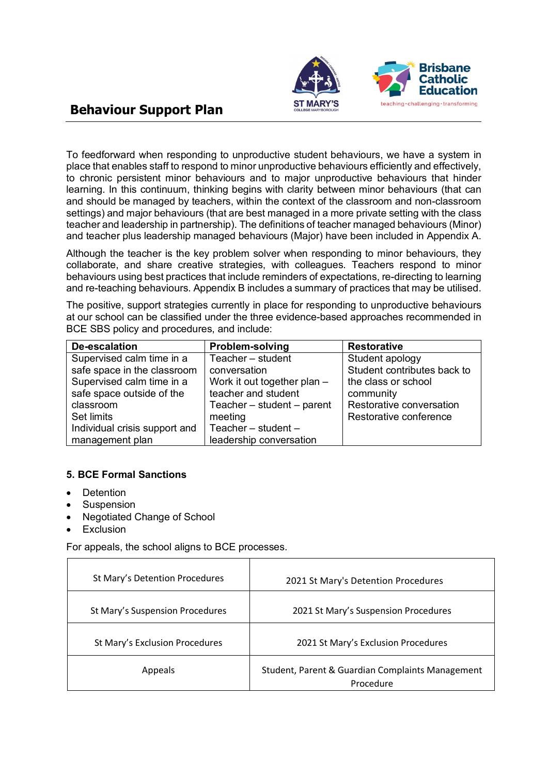

To feedforward when responding to unproductive student behaviours, we have a system in place that enables staff to respond to minor unproductive behaviours efficiently and effectively, to chronic persistent minor behaviours and to major unproductive behaviours that hinder learning. In this continuum, thinking begins with clarity between minor behaviours (that can and should be managed by teachers, within the context of the classroom and non-classroom settings) and major behaviours (that are best managed in a more private setting with the class teacher and leadership in partnership). The definitions of teacher managed behaviours (Minor) and teacher plus leadership managed behaviours (Major) have been included in Appendix A.

Although the teacher is the key problem solver when responding to minor behaviours, they collaborate, and share creative strategies, with colleagues. Teachers respond to minor behaviours using best practices that include reminders of expectations, re-directing to learning and re-teaching behaviours. Appendix B includes a summary of practices that may be utilised.

The positive, support strategies currently in place for responding to unproductive behaviours at our school can be classified under the three evidence-based approaches recommended in BCE SBS policy and procedures, and include:

| De-escalation                 | <b>Problem-solving</b>      | <b>Restorative</b>          |
|-------------------------------|-----------------------------|-----------------------------|
| Supervised calm time in a     | Teacher - student           | Student apology             |
| safe space in the classroom   | conversation                | Student contributes back to |
| Supervised calm time in a     | Work it out together plan - | the class or school         |
| safe space outside of the     | teacher and student         | community                   |
| classroom                     | Teacher - student - parent  | Restorative conversation    |
| Set limits                    | meeting                     | Restorative conference      |
| Individual crisis support and | Teacher $-$ student $-$     |                             |
| management plan               | leadership conversation     |                             |

#### **5. BCE Formal Sanctions**

- **Detention**
- **Suspension**
- Negotiated Change of School
- **Exclusion**

 $\mathbf{r}$ 

For appeals, the school aligns to BCE processes.

| St Mary's Detention Procedures  | 2021 St Mary's Detention Procedures                           |
|---------------------------------|---------------------------------------------------------------|
| St Mary's Suspension Procedures | 2021 St Mary's Suspension Procedures                          |
| St Mary's Exclusion Procedures  | 2021 St Mary's Exclusion Procedures                           |
| Appeals                         | Student, Parent & Guardian Complaints Management<br>Procedure |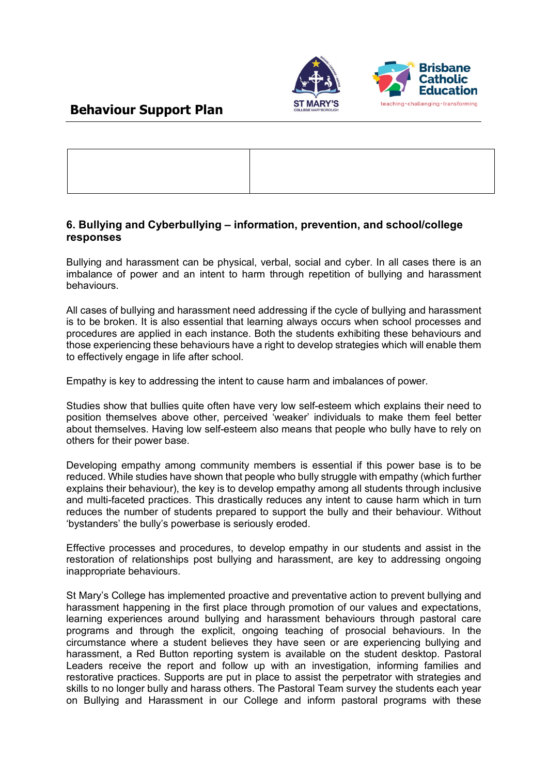

## **6. Bullying and Cyberbullying – information, prevention, and school/college responses**

Bullying and harassment can be physical, verbal, social and cyber. In all cases there is an imbalance of power and an intent to harm through repetition of bullying and harassment behaviours.

All cases of bullying and harassment need addressing if the cycle of bullying and harassment is to be broken. It is also essential that learning always occurs when school processes and procedures are applied in each instance. Both the students exhibiting these behaviours and those experiencing these behaviours have a right to develop strategies which will enable them to effectively engage in life after school.

Empathy is key to addressing the intent to cause harm and imbalances of power.

Studies show that bullies quite often have very low self-esteem which explains their need to position themselves above other, perceived 'weaker' individuals to make them feel better about themselves. Having low self-esteem also means that people who bully have to rely on others for their power base.

Developing empathy among community members is essential if this power base is to be reduced. While studies have shown that people who bully struggle with empathy (which further explains their behaviour), the key is to develop empathy among all students through inclusive and multi-faceted practices. This drastically reduces any intent to cause harm which in turn reduces the number of students prepared to support the bully and their behaviour. Without 'bystanders' the bully's powerbase is seriously eroded.

Effective processes and procedures, to develop empathy in our students and assist in the restoration of relationships post bullying and harassment, are key to addressing ongoing inappropriate behaviours.

St Mary's College has implemented proactive and preventative action to prevent bullying and harassment happening in the first place through promotion of our values and expectations, learning experiences around bullying and harassment behaviours through pastoral care programs and through the explicit, ongoing teaching of prosocial behaviours. In the circumstance where a student believes they have seen or are experiencing bullying and harassment, a Red Button reporting system is available on the student desktop. Pastoral Leaders receive the report and follow up with an investigation, informing families and restorative practices. Supports are put in place to assist the perpetrator with strategies and skills to no longer bully and harass others. The Pastoral Team survey the students each year on Bullying and Harassment in our College and inform pastoral programs with these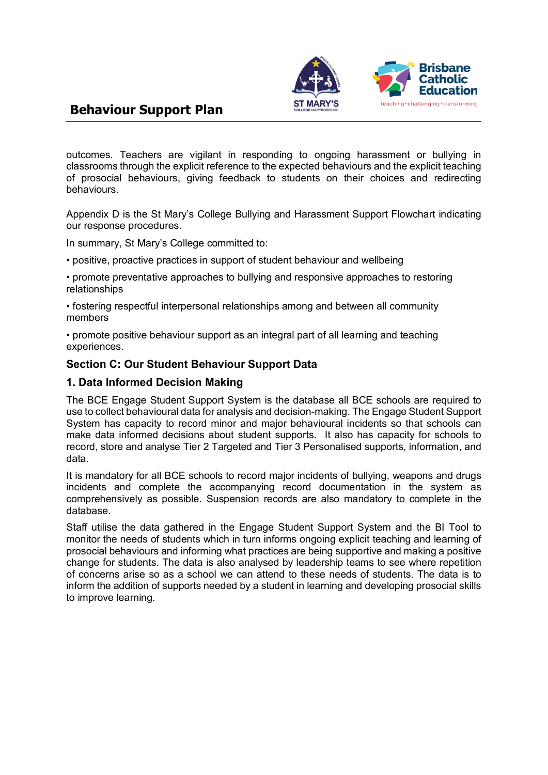

outcomes. Teachers are vigilant in responding to ongoing harassment or bullying in classrooms through the explicit reference to the expected behaviours and the explicit teaching of prosocial behaviours, giving feedback to students on their choices and redirecting behaviours.

Appendix D is the St Mary's College Bullying and Harassment Support Flowchart indicating our response procedures.

In summary, St Mary's College committed to:

• positive, proactive practices in support of student behaviour and wellbeing

• promote preventative approaches to bullying and responsive approaches to restoring relationships

• fostering respectful interpersonal relationships among and between all community members

• promote positive behaviour support as an integral part of all learning and teaching experiences.

#### **Section C: Our Student Behaviour Support Data**

#### **1. Data Informed Decision Making**

The BCE Engage Student Support System is the database all BCE schools are required to use to collect behavioural data for analysis and decision-making. The Engage Student Support System has capacity to record minor and major behavioural incidents so that schools can make data informed decisions about student supports. It also has capacity for schools to record, store and analyse Tier 2 Targeted and Tier 3 Personalised supports, information, and data.

It is mandatory for all BCE schools to record major incidents of bullying, weapons and drugs incidents and complete the accompanying record documentation in the system as comprehensively as possible. Suspension records are also mandatory to complete in the database.

Staff utilise the data gathered in the Engage Student Support System and the BI Tool to monitor the needs of students which in turn informs ongoing explicit teaching and learning of prosocial behaviours and informing what practices are being supportive and making a positive change for students. The data is also analysed by leadership teams to see where repetition of concerns arise so as a school we can attend to these needs of students. The data is to inform the addition of supports needed by a student in learning and developing prosocial skills to improve learning.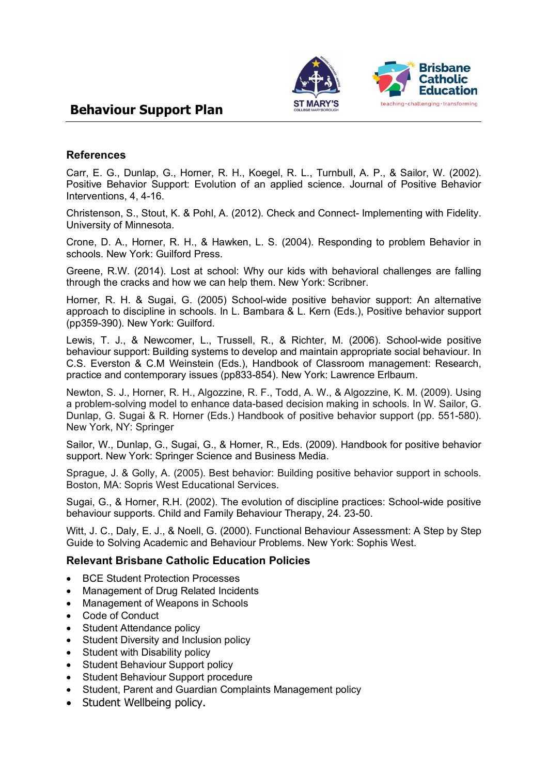

#### **References**

Carr, E. G., Dunlap, G., Horner, R. H., Koegel, R. L., Turnbull, A. P., & Sailor, W. (2002). Positive Behavior Support: Evolution of an applied science. Journal of Positive Behavior Interventions, 4, 4-16.

Christenson, S., Stout, K. & Pohl, A. (2012). Check and Connect- Implementing with Fidelity. University of Minnesota.

Crone, D. A., Horner, R. H., & Hawken, L. S. (2004). Responding to problem Behavior in schools. New York: Guilford Press.

Greene, R.W. (2014). Lost at school: Why our kids with behavioral challenges are falling through the cracks and how we can help them. New York: Scribner.

Horner, R. H. & Sugai, G. (2005) School-wide positive behavior support: An alternative approach to discipline in schools. In L. Bambara & L. Kern (Eds.), Positive behavior support (pp359-390). New York: Guilford.

Lewis, T. J., & Newcomer, L., Trussell, R., & Richter, M. (2006). School-wide positive behaviour support: Building systems to develop and maintain appropriate social behaviour. In C.S. Everston & C.M Weinstein (Eds.), Handbook of Classroom management: Research, practice and contemporary issues (pp833-854). New York: Lawrence Erlbaum.

Newton, S. J., Horner, R. H., Algozzine, R. F., Todd, A. W., & Algozzine, K. M. (2009). Using a problem-solving model to enhance data-based decision making in schools. In W. Sailor, G. Dunlap, G. Sugai & R. Horner (Eds.) Handbook of positive behavior support (pp. 551-580). New York, NY: Springer

Sailor, W., Dunlap, G., Sugai, G., & Horner, R., Eds. (2009). Handbook for positive behavior support. New York: Springer Science and Business Media.

Sprague, J. & Golly, A. (2005). Best behavior: Building positive behavior support in schools. Boston, MA: Sopris West Educational Services.

Sugai, G., & Horner, R.H. (2002). The evolution of discipline practices: School-wide positive behaviour supports. Child and Family Behaviour Therapy, 24. 23-50.

Witt, J. C., Daly, E. J., & Noell, G. (2000). Functional Behaviour Assessment: A Step by Step Guide to Solving Academic and Behaviour Problems. New York: Sophis West.

#### **Relevant Brisbane Catholic Education Policies**

- **BCE Student Protection Processes**
- Management of Drug Related Incidents
- Management of Weapons in Schools
- Code of Conduct
- Student Attendance policy
- Student Diversity and Inclusion policy
- Student with Disability policy
- Student Behaviour Support policy
- Student Behaviour Support procedure
- Student, Parent and Guardian Complaints Management policy
- Student Wellbeing policy.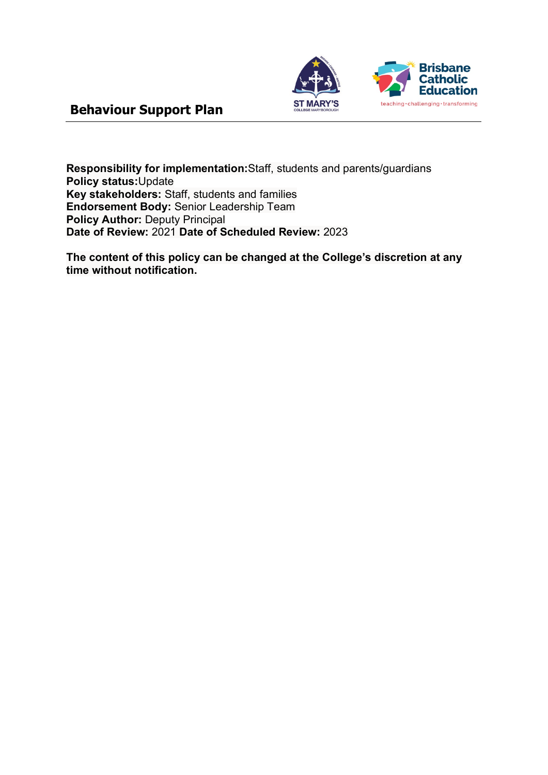

**Responsibility for implementation:**Staff, students and parents/guardians **Policy status:**Update **Key stakeholders:** Staff, students and families **Endorsement Body:** Senior Leadership Team **Policy Author:** Deputy Principal **Date of Review:** 2021 **Date of Scheduled Review:** 2023

**The content of this policy can be changed at the College's discretion at any time without notification.**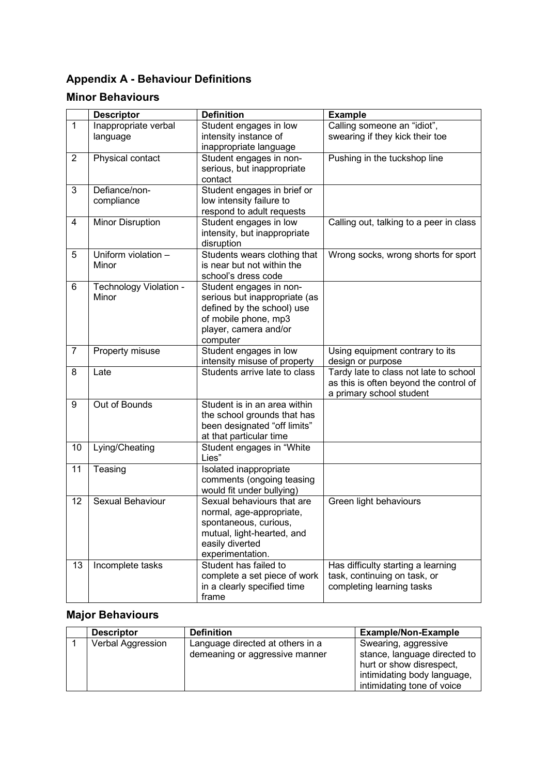# **Appendix A - Behaviour Definitions**

## **Minor Behaviours**

|                | <b>Descriptor</b>       | <b>Definition</b>                                    | <b>Example</b>                          |
|----------------|-------------------------|------------------------------------------------------|-----------------------------------------|
| $\mathbf{1}$   | Inappropriate verbal    | Student engages in low                               | Calling someone an "idiot",             |
|                | language                | intensity instance of                                | swearing if they kick their toe         |
|                |                         | inappropriate language                               |                                         |
| $\overline{2}$ | Physical contact        | Student engages in non-                              | Pushing in the tuckshop line            |
|                |                         | serious, but inappropriate                           |                                         |
|                |                         | contact                                              |                                         |
| 3              | Defiance/non-           | Student engages in brief or                          |                                         |
|                | compliance              | low intensity failure to                             |                                         |
| 4              |                         | respond to adult requests                            |                                         |
|                | <b>Minor Disruption</b> | Student engages in low                               | Calling out, talking to a peer in class |
|                |                         | intensity, but inappropriate<br>disruption           |                                         |
| 5              | Uniform violation -     | Students wears clothing that                         | Wrong socks, wrong shorts for sport     |
|                | Minor                   | is near but not within the                           |                                         |
|                |                         | school's dress code                                  |                                         |
| 6              | Technology Violation -  | Student engages in non-                              |                                         |
|                | Minor                   | serious but inappropriate (as                        |                                         |
|                |                         | defined by the school) use                           |                                         |
|                |                         | of mobile phone, mp3                                 |                                         |
|                |                         | player, camera and/or                                |                                         |
|                |                         | computer                                             |                                         |
| 7              | Property misuse         | Student engages in low                               | Using equipment contrary to its         |
|                |                         | intensity misuse of property                         | design or purpose                       |
| 8              | Late                    | Students arrive late to class                        | Tardy late to class not late to school  |
|                |                         |                                                      | as this is often beyond the control of  |
|                |                         |                                                      | a primary school student                |
| 9              | Out of Bounds           | Student is in an area within                         |                                         |
|                |                         | the school grounds that has                          |                                         |
|                |                         | been designated "off limits"                         |                                         |
| 10             | Lying/Cheating          | at that particular time<br>Student engages in "White |                                         |
|                |                         | Lies"                                                |                                         |
| 11             | Teasing                 | Isolated inappropriate                               |                                         |
|                |                         | comments (ongoing teasing                            |                                         |
|                |                         | would fit under bullying)                            |                                         |
| 12             | Sexual Behaviour        | Sexual behaviours that are                           | Green light behaviours                  |
|                |                         | normal, age-appropriate,                             |                                         |
|                |                         | spontaneous, curious,                                |                                         |
|                |                         | mutual, light-hearted, and                           |                                         |
|                |                         | easily diverted                                      |                                         |
|                |                         | experimentation.                                     |                                         |
| 13             | Incomplete tasks        | Student has failed to                                | Has difficulty starting a learning      |
|                |                         | complete a set piece of work                         | task, continuing on task, or            |
|                |                         | in a clearly specified time                          | completing learning tasks               |
|                |                         | frame                                                |                                         |

# **Major Behaviours**

| <b>Descriptor</b> | <b>Definition</b>                | <b>Example/Non-Example</b>                                                                                            |
|-------------------|----------------------------------|-----------------------------------------------------------------------------------------------------------------------|
| Verbal Aggression | Language directed at others in a | Swearing, aggressive                                                                                                  |
|                   | demeaning or aggressive manner   | stance, language directed to<br>hurt or show disrespect,<br>intimidating body language,<br>intimidating tone of voice |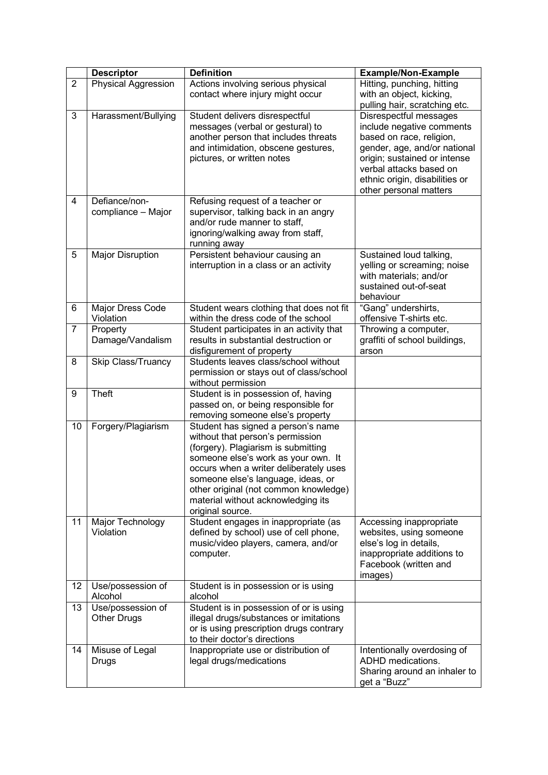|                | <b>Descriptor</b>                       | <b>Definition</b>                                                                                                                                                                                                                                                                                                                       |                                                                                                                                                                                                                                        |
|----------------|-----------------------------------------|-----------------------------------------------------------------------------------------------------------------------------------------------------------------------------------------------------------------------------------------------------------------------------------------------------------------------------------------|----------------------------------------------------------------------------------------------------------------------------------------------------------------------------------------------------------------------------------------|
| $\overline{2}$ | <b>Physical Aggression</b>              | Actions involving serious physical<br>contact where injury might occur                                                                                                                                                                                                                                                                  | Hitting, punching, hitting<br>with an object, kicking,<br>pulling hair, scratching etc.                                                                                                                                                |
| 3              | Harassment/Bullying                     | Student delivers disrespectful<br>messages (verbal or gestural) to<br>another person that includes threats<br>and intimidation, obscene gestures,<br>pictures, or written notes                                                                                                                                                         | Disrespectful messages<br>include negative comments<br>based on race, religion,<br>gender, age, and/or national<br>origin; sustained or intense<br>verbal attacks based on<br>ethnic origin, disabilities or<br>other personal matters |
| 4              | Defiance/non-<br>compliance - Major     | Refusing request of a teacher or<br>supervisor, talking back in an angry<br>and/or rude manner to staff,<br>ignoring/walking away from staff,<br>running away                                                                                                                                                                           |                                                                                                                                                                                                                                        |
| 5              | <b>Major Disruption</b>                 | Persistent behaviour causing an<br>interruption in a class or an activity                                                                                                                                                                                                                                                               | Sustained loud talking,<br>yelling or screaming; noise<br>with materials; and/or<br>sustained out-of-seat<br>behaviour                                                                                                                 |
| 6              | Major Dress Code<br>Violation           | Student wears clothing that does not fit<br>within the dress code of the school                                                                                                                                                                                                                                                         | "Gang" undershirts,<br>offensive T-shirts etc.                                                                                                                                                                                         |
| $\overline{7}$ | Property<br>Damage/Vandalism            | Student participates in an activity that<br>results in substantial destruction or<br>disfigurement of property                                                                                                                                                                                                                          | Throwing a computer,<br>graffiti of school buildings,<br>arson                                                                                                                                                                         |
| 8              | Skip Class/Truancy                      | Students leaves class/school without<br>permission or stays out of class/school<br>without permission                                                                                                                                                                                                                                   |                                                                                                                                                                                                                                        |
| 9              | Theft                                   | Student is in possession of, having<br>passed on, or being responsible for<br>removing someone else's property                                                                                                                                                                                                                          |                                                                                                                                                                                                                                        |
| 10             | Forgery/Plagiarism                      | Student has signed a person's name<br>without that person's permission<br>(forgery). Plagiarism is submitting<br>someone else's work as your own. It<br>occurs when a writer deliberately uses<br>someone else's language, ideas, or<br>other original (not common knowledge)<br>material without acknowledging its<br>original source. |                                                                                                                                                                                                                                        |
| 11             | Major Technology<br>Violation           | Student engages in inappropriate (as<br>defined by school) use of cell phone,<br>music/video players, camera, and/or<br>computer.                                                                                                                                                                                                       | Accessing inappropriate<br>websites, using someone<br>else's log in details,<br>inappropriate additions to<br>Facebook (written and<br>images)                                                                                         |
| 12             | Use/possession of<br>Alcohol            | Student is in possession or is using<br>alcohol                                                                                                                                                                                                                                                                                         |                                                                                                                                                                                                                                        |
| 13             | Use/possession of<br><b>Other Drugs</b> | Student is in possession of or is using<br>illegal drugs/substances or imitations<br>or is using prescription drugs contrary<br>to their doctor's directions                                                                                                                                                                            |                                                                                                                                                                                                                                        |
| 14             | Misuse of Legal<br>Drugs                | Inappropriate use or distribution of<br>legal drugs/medications                                                                                                                                                                                                                                                                         | Intentionally overdosing of<br>ADHD medications.<br>Sharing around an inhaler to<br>get a "Buzz"                                                                                                                                       |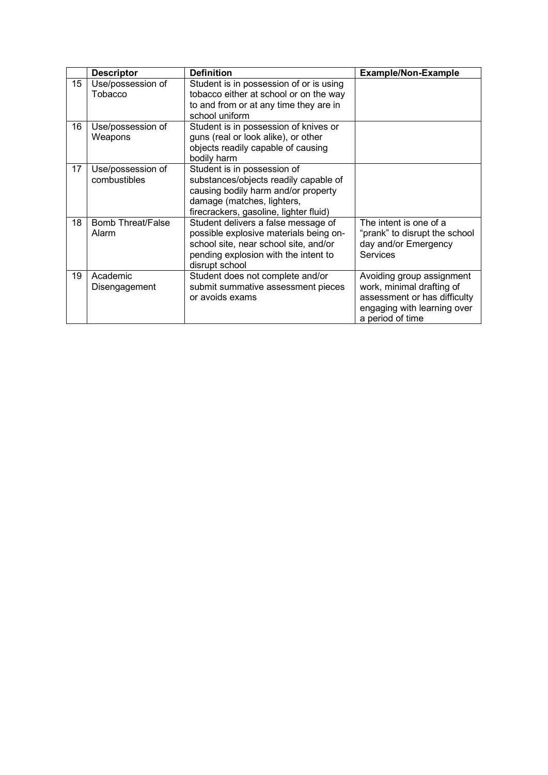|    | <b>Descriptor</b>                 | <b>Definition</b>                                                                                                                                                                   | <b>Example/Non-Example</b>                                                                                                                |
|----|-----------------------------------|-------------------------------------------------------------------------------------------------------------------------------------------------------------------------------------|-------------------------------------------------------------------------------------------------------------------------------------------|
| 15 | Use/possession of<br>Tobacco      | Student is in possession of or is using<br>tobacco either at school or on the way<br>to and from or at any time they are in<br>school uniform                                       |                                                                                                                                           |
| 16 | Use/possession of<br>Weapons      | Student is in possession of knives or<br>guns (real or look alike), or other<br>objects readily capable of causing<br>bodily harm                                                   |                                                                                                                                           |
| 17 | Use/possession of<br>combustibles | Student is in possession of<br>substances/objects readily capable of<br>causing bodily harm and/or property<br>damage (matches, lighters,<br>firecrackers, gasoline, lighter fluid) |                                                                                                                                           |
| 18 | <b>Bomb Threat/False</b><br>Alarm | Student delivers a false message of<br>possible explosive materials being on-<br>school site, near school site, and/or<br>pending explosion with the intent to<br>disrupt school    | The intent is one of a<br>"prank" to disrupt the school<br>day and/or Emergency<br>Services                                               |
| 19 | Academic<br>Disengagement         | Student does not complete and/or<br>submit summative assessment pieces<br>or avoids exams                                                                                           | Avoiding group assignment<br>work, minimal drafting of<br>assessment or has difficulty<br>engaging with learning over<br>a period of time |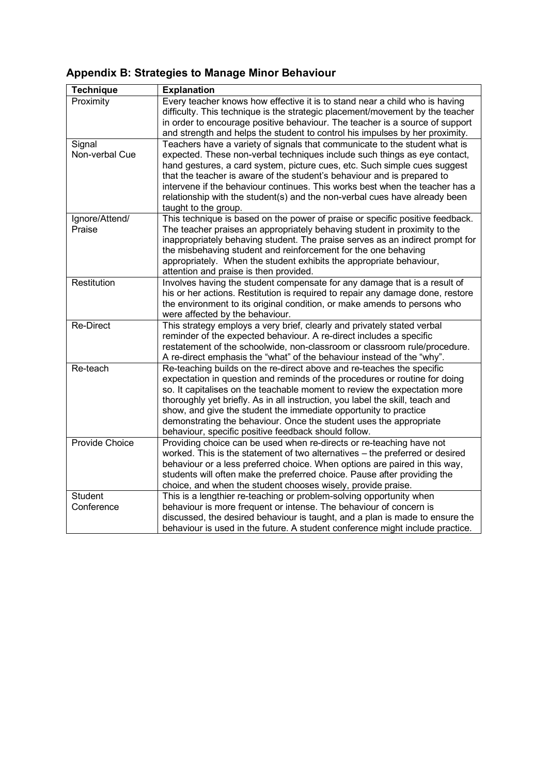# **Appendix B: Strategies to Manage Minor Behaviour**

| <b>Technique</b>             | <b>Explanation</b>                                                                                                                                                                                                                                                                                                                                                                                                                                                                                                  |
|------------------------------|---------------------------------------------------------------------------------------------------------------------------------------------------------------------------------------------------------------------------------------------------------------------------------------------------------------------------------------------------------------------------------------------------------------------------------------------------------------------------------------------------------------------|
| Proximity                    | Every teacher knows how effective it is to stand near a child who is having<br>difficulty. This technique is the strategic placement/movement by the teacher<br>in order to encourage positive behaviour. The teacher is a source of support<br>and strength and helps the student to control his impulses by her proximity.                                                                                                                                                                                        |
| Signal<br>Non-verbal Cue     | Teachers have a variety of signals that communicate to the student what is<br>expected. These non-verbal techniques include such things as eye contact,<br>hand gestures, a card system, picture cues, etc. Such simple cues suggest<br>that the teacher is aware of the student's behaviour and is prepared to<br>intervene if the behaviour continues. This works best when the teacher has a<br>relationship with the student(s) and the non-verbal cues have already been<br>taught to the group.               |
| Ignore/Attend/<br>Praise     | This technique is based on the power of praise or specific positive feedback.<br>The teacher praises an appropriately behaving student in proximity to the<br>inappropriately behaving student. The praise serves as an indirect prompt for<br>the misbehaving student and reinforcement for the one behaving<br>appropriately. When the student exhibits the appropriate behaviour,<br>attention and praise is then provided.                                                                                      |
| Restitution                  | Involves having the student compensate for any damage that is a result of<br>his or her actions. Restitution is required to repair any damage done, restore<br>the environment to its original condition, or make amends to persons who<br>were affected by the behaviour.                                                                                                                                                                                                                                          |
| <b>Re-Direct</b>             | This strategy employs a very brief, clearly and privately stated verbal<br>reminder of the expected behaviour. A re-direct includes a specific<br>restatement of the schoolwide, non-classroom or classroom rule/procedure.<br>A re-direct emphasis the "what" of the behaviour instead of the "why".                                                                                                                                                                                                               |
| Re-teach                     | Re-teaching builds on the re-direct above and re-teaches the specific<br>expectation in question and reminds of the procedures or routine for doing<br>so. It capitalises on the teachable moment to review the expectation more<br>thoroughly yet briefly. As in all instruction, you label the skill, teach and<br>show, and give the student the immediate opportunity to practice<br>demonstrating the behaviour. Once the student uses the appropriate<br>behaviour, specific positive feedback should follow. |
| Provide Choice               | Providing choice can be used when re-directs or re-teaching have not<br>worked. This is the statement of two alternatives - the preferred or desired<br>behaviour or a less preferred choice. When options are paired in this way,<br>students will often make the preferred choice. Pause after providing the<br>choice, and when the student chooses wisely, provide praise.                                                                                                                                      |
| <b>Student</b><br>Conference | This is a lengthier re-teaching or problem-solving opportunity when<br>behaviour is more frequent or intense. The behaviour of concern is<br>discussed, the desired behaviour is taught, and a plan is made to ensure the<br>behaviour is used in the future. A student conference might include practice.                                                                                                                                                                                                          |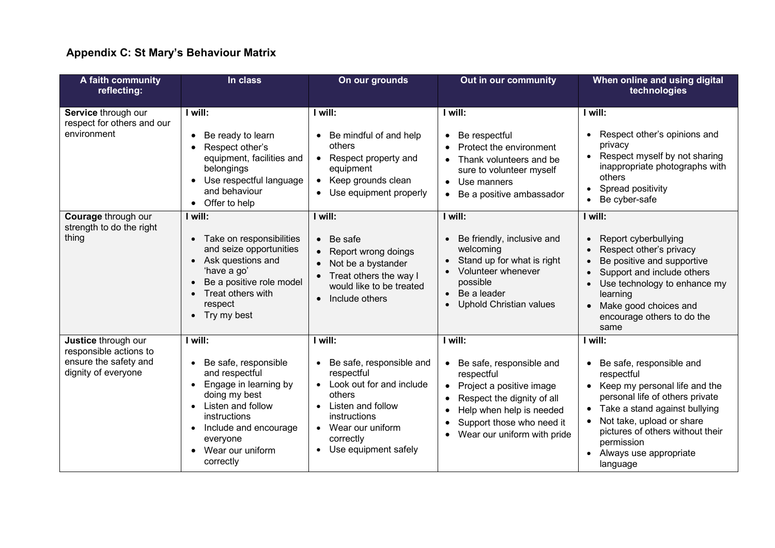# **Appendix C: St Mary's Behaviour Matrix**

| A faith community<br>reflecting:                                                              | In class                                                                                                                                                                                               | On our grounds                                                                                                                                                                          | Out in our community                                                                                                                                                                                | When online and using digital<br>technologies                                                                                                                                                                                                                                                                                   |
|-----------------------------------------------------------------------------------------------|--------------------------------------------------------------------------------------------------------------------------------------------------------------------------------------------------------|-----------------------------------------------------------------------------------------------------------------------------------------------------------------------------------------|-----------------------------------------------------------------------------------------------------------------------------------------------------------------------------------------------------|---------------------------------------------------------------------------------------------------------------------------------------------------------------------------------------------------------------------------------------------------------------------------------------------------------------------------------|
| Service through our<br>respect for others and our<br>environment                              | I will:<br>Be ready to learn<br>Respect other's<br>equipment, facilities and<br>belongings<br>Use respectful language<br>and behaviour<br>• Offer to help                                              | I will:<br>Be mindful of and help<br>others<br>Respect property and<br>$\bullet$<br>equipment<br>Keep grounds clean<br>Use equipment properly                                           | I will:<br>• Be respectful<br>Protect the environment<br>Thank volunteers and be<br>sure to volunteer myself<br>• Use manners<br>• Be a positive ambassador                                         | I will:<br>Respect other's opinions and<br>privacy<br>Respect myself by not sharing<br>$\bullet$<br>inappropriate photographs with<br>others<br>Spread positivity<br>Be cyber-safe<br>$\bullet$                                                                                                                                 |
| Courage through our<br>strength to do the right<br>thing                                      | I will:<br>• Take on responsibilities<br>and seize opportunities<br>Ask questions and<br>'have a go'<br>Be a positive role model<br>Treat others with<br>respect<br>• Try my best                      | I will:<br>Be safe<br>$\bullet$<br>Report wrong doings<br>Not be a bystander<br>Treat others the way I<br>would like to be treated<br>Include others<br>$\bullet$                       | I will:<br>Be friendly, inclusive and<br>welcoming<br>Stand up for what is right<br>Volunteer whenever<br>possible<br>Be a leader<br>Uphold Christian values                                        | I will:<br>Report cyberbullying<br>$\bullet$<br>Respect other's privacy<br>Be positive and supportive<br>Support and include others<br>Use technology to enhance my<br>learning<br>Make good choices and<br>$\bullet$<br>encourage others to do the<br>same                                                                     |
| Justice through our<br>responsible actions to<br>ensure the safety and<br>dignity of everyone | I will:<br>Be safe, responsible<br>and respectful<br>Engage in learning by<br>doing my best<br>Listen and follow<br>instructions<br>Include and encourage<br>everyone<br>Wear our uniform<br>correctly | I will:<br>Be safe, responsible and<br>respectful<br>Look out for and include<br>others<br>Listen and follow<br>instructions<br>Wear our uniform<br>correctly<br>• Use equipment safely | I will:<br>Be safe, responsible and<br>respectful<br>Project a positive image<br>Respect the dignity of all<br>Help when help is needed<br>Support those who need it<br>Wear our uniform with pride | I will:<br>Be safe, responsible and<br>$\bullet$<br>respectful<br>Keep my personal life and the<br>$\bullet$<br>personal life of others private<br>Take a stand against bullying<br>$\bullet$<br>Not take, upload or share<br>$\bullet$<br>pictures of others without their<br>permission<br>Always use appropriate<br>language |